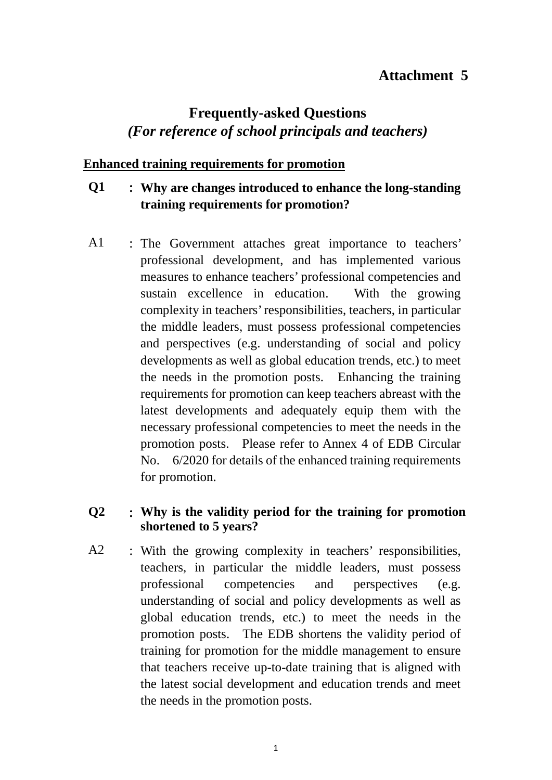## **Attachment 5**

# **Frequently-asked Questions** *(For reference of school principals and teachers)*

#### **Enhanced training requirements for promotion**

### **Q1** : **Why are changes introduced to enhance the long-standing training requirements for promotion?**

A1 : The Government attaches great importance to teachers' professional development, and has implemented various measures to enhance teachers' professional competencies and sustain excellence in education. With the growing complexity in teachers' responsibilities, teachers, in particular the middle leaders, must possess professional competencies and perspectives (e.g. understanding of social and policy developments as well as global education trends, etc.) to meet the needs in the promotion posts. Enhancing the training requirements for promotion can keep teachers abreast with the latest developments and adequately equip them with the necessary professional competencies to meet the needs in the promotion posts. Please refer to Annex 4 of EDB Circular No. 6/2020 for details of the enhanced training requirements for promotion.

#### **Q2** : **Why is the validity period for the training for promotion shortened to 5 years?**

A2 : With the growing complexity in teachers' responsibilities, teachers, in particular the middle leaders, must possess professional competencies and perspectives (e.g. understanding of social and policy developments as well as global education trends, etc.) to meet the needs in the promotion posts. The EDB shortens the validity period of training for promotion for the middle management to ensure that teachers receive up-to-date training that is aligned with the latest social development and education trends and meet the needs in the promotion posts.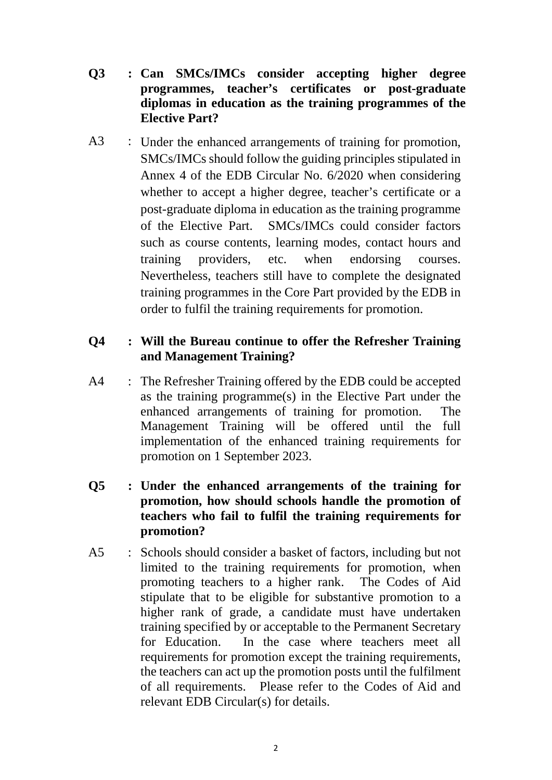- **Q3 : Can SMCs/IMCs consider accepting higher degree programmes, teacher's certificates or post-graduate diplomas in education as the training programmes of the Elective Part?**
- A3 : Under the enhanced arrangements of training for promotion, SMCs/IMCs should follow the guiding principles stipulated in Annex 4 of the EDB Circular No. 6/2020 when considering whether to accept a higher degree, teacher's certificate or a post-graduate diploma in education as the training programme of the Elective Part. SMCs/IMCs could consider factors such as course contents, learning modes, contact hours and training providers, etc. when endorsing courses. Nevertheless, teachers still have to complete the designated training programmes in the Core Part provided by the EDB in order to fulfil the training requirements for promotion.

#### **Q4 : Will the Bureau continue to offer the Refresher Training and Management Training?**

- A4 : The Refresher Training offered by the EDB could be accepted as the training programme(s) in the Elective Part under the enhanced arrangements of training for promotion. The Management Training will be offered until the full implementation of the enhanced training requirements for promotion on 1 September 2023.
- **Q5 : Under the enhanced arrangements of the training for promotion, how should schools handle the promotion of teachers who fail to fulfil the training requirements for promotion?**
- A5 : Schools should consider a basket of factors, including but not limited to the training requirements for promotion, when promoting teachers to a higher rank. The Codes of Aid stipulate that to be eligible for substantive promotion to a higher rank of grade, a candidate must have undertaken training specified by or acceptable to the Permanent Secretary for Education. In the case where teachers meet all requirements for promotion except the training requirements, the teachers can act up the promotion posts until the fulfilment of all requirements. Please refer to the Codes of Aid and relevant EDB Circular(s) for details.